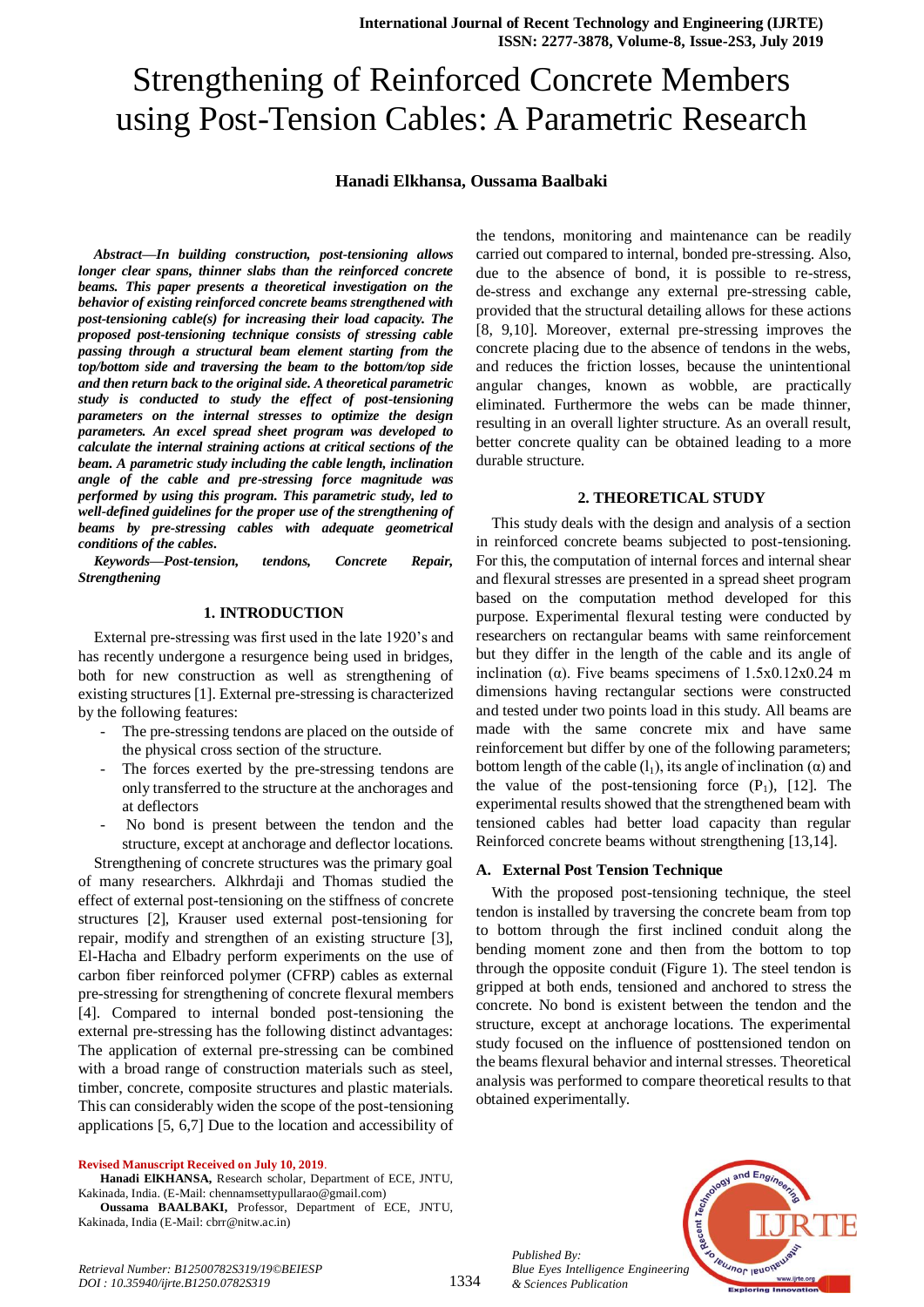# Strengthening of Reinforced Concrete Members using Post-Tension Cables: A Parametric Research

#### **Hanadi Elkhansa, Oussama Baalbaki**

*Abstract***—***In building construction, post-tensioning allows longer clear spans, thinner slabs than the reinforced concrete beams. This paper presents a theoretical investigation on the behavior of existing reinforced concrete beams strengthened with post-tensioning cable(s) for increasing their load capacity. The proposed post-tensioning technique consists of stressing cable passing through a structural beam element starting from the top/bottom side and traversing the beam to the bottom/top side and then return back to the original side. A theoretical parametric study is conducted to study the effect of post-tensioning parameters on the internal stresses to optimize the design parameters. An excel spread sheet program was developed to calculate the internal straining actions at critical sections of the beam. A parametric study including the cable length, inclination angle of the cable and pre-stressing force magnitude was performed by using this program. This parametric study, led to well-defined guidelines for the proper use of the strengthening of beams by pre-stressing cables with adequate geometrical conditions of the cables.*

*Keywords—Post-tension, tendons, Concrete Repair, Strengthening*

#### **1. INTRODUCTION**

External pre-stressing was first used in the late 1920's and has recently undergone a resurgence being used in bridges, both for new construction as well as strengthening of existing structures [1]. External pre-stressing is characterized by the following features:

- The pre-stressing tendons are placed on the outside of the physical cross section of the structure.
- The forces exerted by the pre-stressing tendons are only transferred to the structure at the anchorages and at deflectors
- No bond is present between the tendon and the structure, except at anchorage and deflector locations.

Strengthening of concrete structures was the primary goal of many researchers. Alkhrdaji and Thomas studied the effect of external post-tensioning on the stiffness of concrete structures [2], Krauser used external post-tensioning for repair, modify and strengthen of an existing structure [3], El-Hacha and Elbadry perform experiments on the use of carbon fiber reinforced polymer (CFRP) cables as external pre-stressing for strengthening of concrete flexural members [4]. Compared to internal bonded post-tensioning the external pre-stressing has the following distinct advantages: The application of external pre-stressing can be combined with a broad range of construction materials such as steel, timber, concrete, composite structures and plastic materials. This can considerably widen the scope of the post-tensioning applications [5, 6,7] Due to the location and accessibility of

#### **Revised Manuscript Received on July 10, 2019**.

**Hanadi ElKHANSA,** Research scholar, Department of ECE, JNTU, Kakinada, India. (E-Mail: chennamsettypullarao@gmail.com)

**Oussama BAALBAKI,** Professor, Department of ECE, JNTU, Kakinada, India (E-Mail: cbrr@nitw.ac.in)

the tendons, monitoring and maintenance can be readily carried out compared to internal, bonded pre-stressing. Also, due to the absence of bond, it is possible to re-stress, de-stress and exchange any external pre-stressing cable, provided that the structural detailing allows for these actions [8, 9,10]. Moreover, external pre-stressing improves the concrete placing due to the absence of tendons in the webs, and reduces the friction losses, because the unintentional angular changes, known as wobble, are practically eliminated. Furthermore the webs can be made thinner, resulting in an overall lighter structure. As an overall result, better concrete quality can be obtained leading to a more durable structure.

#### **2. THEORETICAL STUDY**

This study deals with the design and analysis of a section in reinforced concrete beams subjected to post-tensioning. For this, the computation of internal forces and internal shear and flexural stresses are presented in a spread sheet program based on the computation method developed for this purpose. Experimental flexural testing were conducted by researchers on rectangular beams with same reinforcement but they differ in the length of the cable and its angle of inclination ( $\alpha$ ). Five beams specimens of 1.5x0.12x0.24 m dimensions having rectangular sections were constructed and tested under two points load in this study. All beams are made with the same concrete mix and have same reinforcement but differ by one of the following parameters; bottom length of the cable  $(l_1)$ , its angle of inclination ( $\alpha$ ) and the value of the post-tensioning force  $(P_1)$ , [12]. The experimental results showed that the strengthened beam with tensioned cables had better load capacity than regular Reinforced concrete beams without strengthening [13,14].

#### **A. External Post Tension Technique**

With the proposed post-tensioning technique, the steel tendon is installed by traversing the concrete beam from top to bottom through the first inclined conduit along the bending moment zone and then from the bottom to top through the opposite conduit (Figure 1). The steel tendon is gripped at both ends, tensioned and anchored to stress the concrete. No bond is existent between the tendon and the structure, except at anchorage locations. The experimental study focused on the influence of posttensioned tendon on the beams flexural behavior and internal stresses. Theoretical analysis was performed to compare theoretical results to that obtained experimentally.

*Published By: Blue Eyes Intelligence Engineering & Sciences Publication* 

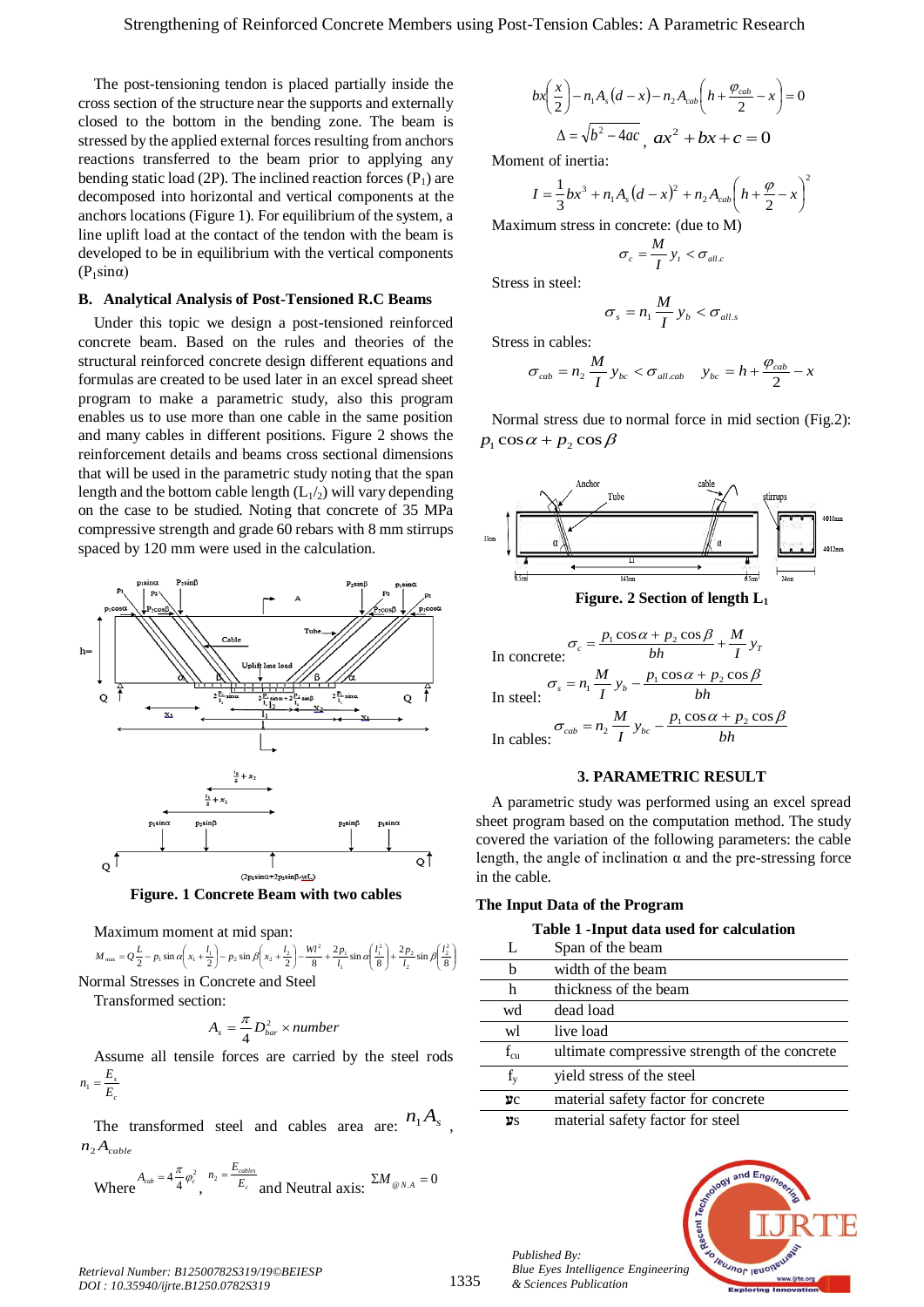The post-tensioning tendon is placed partially inside the cross section of the structure near the supports and externally closed to the bottom in the bending zone. The beam is stressed by the applied external forces resulting from anchors reactions transferred to the beam prior to applying any bending static load (2P). The inclined reaction forces  $(P_1)$  are decomposed into horizontal and vertical components at the anchors locations (Figure 1). For equilibrium of the system, a line uplift load at the contact of the tendon with the beam is developed to be in equilibrium with the vertical components  $(P_1sin\alpha)$ 

#### **B. Analytical Analysis of Post-Tensioned R.C Beams**

Under this topic we design a post-tensioned reinforced concrete beam. Based on the rules and theories of the structural reinforced concrete design different equations and formulas are created to be used later in an excel spread sheet program to make a parametric study, also this program enables us to use more than one cable in the same position and many cables in different positions. Figure 2 shows the reinforcement details and beams cross sectional dimensions that will be used in the parametric study noting that the span length and the bottom cable length  $(L_1/2)$  will vary depending on the case to be studied. Noting that concrete of 35 MPa compressive strength and grade 60 rebars with 8 mm stirrups spaced by 120 mm were used in the calculation.





Maximum moment at mid span:

$$
M_{\text{max}} = Q\frac{L}{2} - p_1 \sin \alpha \left(x_1 + \frac{l_1}{2}\right) - p_2 \sin \beta \left(x_2 + \frac{l_2}{2}\right) - \frac{Wl^2}{8} + \frac{2p_1}{l_1} \sin \alpha \left(\frac{l_1^2}{8}\right) + \frac{2p_2}{l_2} \sin \beta \left(\frac{l_2^2}{8}\right)
$$
  
Normal Stresses in Concrete and Steel

Transformed section:

*c*

$$
A_s = \frac{\pi}{4} D_{bar}^2 \times number
$$

Assume all tensile forces are carried by the steel rods  $\frac{E_s}{E_c}$  $n_1 = \frac{E_s}{E}$ 

The transformed steel and cables area are:  $n_1 A_s$ ,  $n_2 A_{\text{cable}}$ 

Where 
$$
A_{cab} = 4 \frac{\pi}{4} \varphi_c^2
$$
,  $n_2 = \frac{E_{cables}}{E_c}$  and Neutral axis:  $\Sigma M_{\omega N.A} = 0$ 

$$
bx\left(\frac{x}{2}\right) - n_1A_s(d-x) - n_2A_{cab}\left(h + \frac{\varphi_{cab}}{2} - x\right) = 0
$$

$$
\Delta = \sqrt{b^2 - 4ac}, ax^2 + bx + c = 0
$$

Moment of inertia:

$$
I = \frac{1}{3}bx^{3} + n_{1}A_{s}(d - x)^{2} + n_{2}A_{cab}\left(h + \frac{\varphi}{2} - x\right)^{2}
$$

Maximum stress in concrete: (due to M)

$$
\sigma_c = \frac{M}{I} y_t < \sigma_{\text{all.c}}
$$

Stress in steel:

$$
\sigma_s = n_1 \frac{M}{I} y_b < \sigma_{all.s}
$$

Stress in cables:

$$
\sigma_{cab} = n_2 \frac{M}{I} y_{bc} < \sigma_{all, cab} \quad y_{bc} = h + \frac{\varphi_{cab}}{2} - x
$$

Normal stress due to normal force in mid section (Fig.2):  $p_1 \cos \alpha + p_2 \cos \beta$ 



#### **3. PARAMETRIC RESULT**

A parametric study was performed using an excel spread sheet program based on the computation method. The study covered the variation of the following parameters: the cable length, the angle of inclination  $\alpha$  and the pre-stressing force in the cable.

#### **The Input Data of the Program**

|  |  |  | Table 1 - Input data used for calculation |
|--|--|--|-------------------------------------------|
|--|--|--|-------------------------------------------|

| L            | Span of the beam                              |
|--------------|-----------------------------------------------|
| b            | width of the beam                             |
| h            | thickness of the beam                         |
| wd           | dead load                                     |
| wl           | live load                                     |
| $f_{\rm cu}$ | ultimate compressive strength of the concrete |
| $f_{\rm v}$  | yield stress of the steel                     |
| УC           | material safety factor for concrete           |
| ΨS           | material safety factor for steel              |

nd Eno

**Veu VOL IENO** 

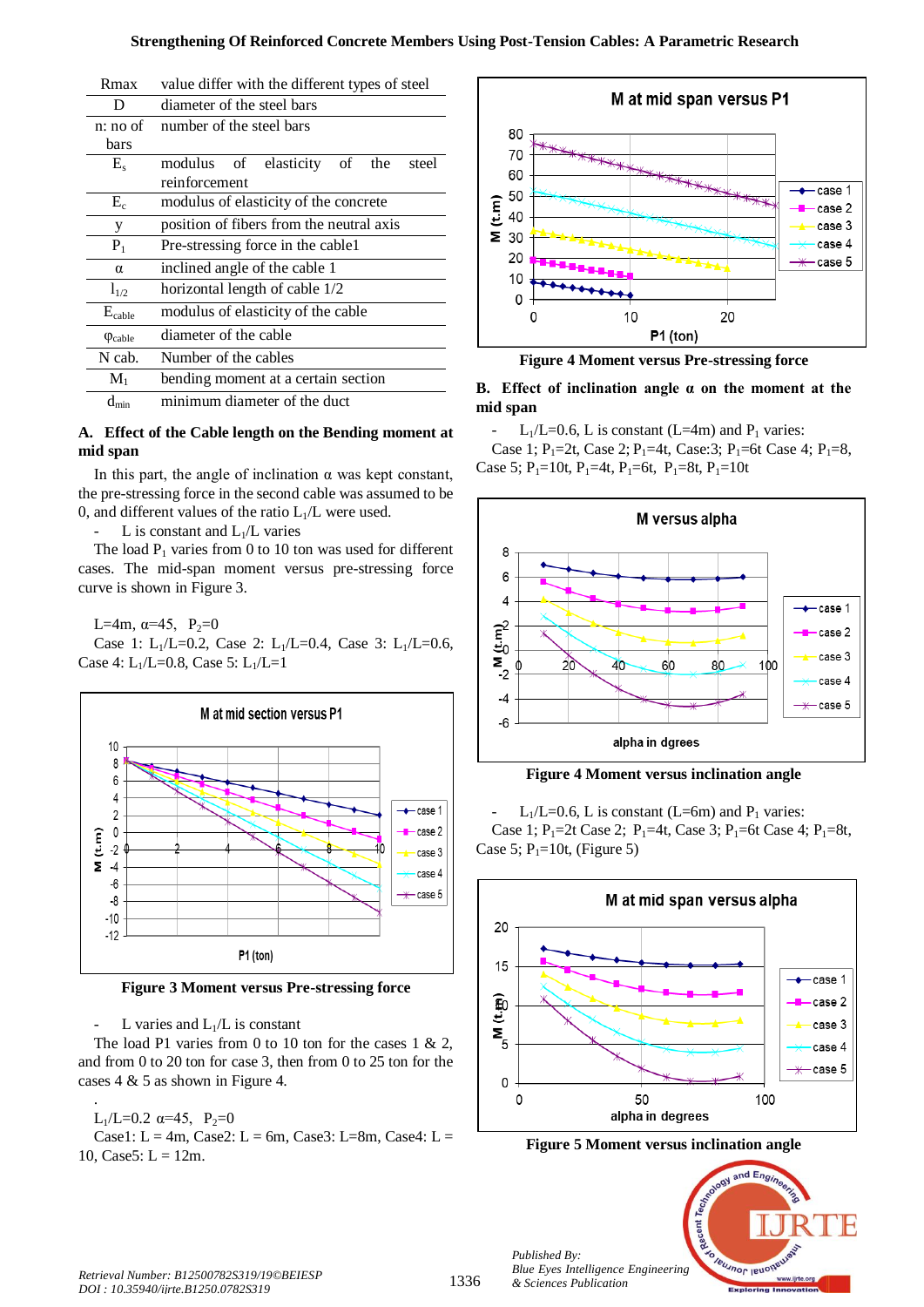### **Strengthening Of Reinforced Concrete Members Using Post-Tension Cables: A Parametric Research**

| іхнал                    | value unier with the unierent types of steel   |  |
|--------------------------|------------------------------------------------|--|
| D                        | diameter of the steel bars                     |  |
| $n: no$ of               | number of the steel bars                       |  |
| bars                     |                                                |  |
| $E_{s}$                  | of elasticity<br>of<br>modulus<br>the<br>steel |  |
|                          | reinforcement                                  |  |
| $\rm E_c$                | modulus of elasticity of the concrete          |  |
| У                        | position of fibers from the neutral axis       |  |
| $P_1$                    | Pre-stressing force in the cable1              |  |
| $\alpha$                 | inclined angle of the cable 1                  |  |
| $l_{1/2}$                | horizontal length of cable 1/2                 |  |
| $E_{\text{cable}}$       | modulus of elasticity of the cable             |  |
| $\varphi_{\text{cable}}$ | diameter of the cable                          |  |
| N cab.                   | Number of the cables                           |  |
| $M_1$                    | bending moment at a certain section            |  |
| min                      | minimum diameter of the duct                   |  |

# Rmax value differ with the different types of steel

# **A. Effect of the Cable length on the Bending moment at mid span**

In this part, the angle of inclination  $\alpha$  was kept constant, the pre-stressing force in the second cable was assumed to be 0, and different values of the ratio  $L_1/L$  were used.

L is constant and  $L_1/L$  varies

The load  $P_1$  varies from 0 to 10 ton was used for different cases. The mid-span moment versus pre-stressing force curve is shown in Figure 3.

L=4m,  $\alpha$ =45, P<sub>2</sub>=0

Case 1: L<sub>1</sub>/L=0.2, Case 2: L<sub>1</sub>/L=0.4, Case 3: L<sub>1</sub>/L=0.6, Case 4:  $L_1/L=0.8$ , Case 5:  $L_1/L=1$ 



**Figure 3 Moment versus Pre-stressing force**

L varies and  $L_1/L$  is constant

The load P1 varies from 0 to 10 ton for the cases 1  $& 2$ , and from 0 to 20 ton for case 3, then from 0 to 25 ton for the cases 4 & 5 as shown in Figure 4.

#### . L<sub>1</sub>/L=0.2  $\alpha$ =45, P<sub>2</sub>=0

Case1:  $L = 4m$ , Case2:  $L = 6m$ , Case3:  $L=8m$ , Case4:  $L=$ 10, Case 5:  $L = 12m$ .



**Figure 4 Moment versus Pre-stressing force**

# **B. Effect of inclination angle α on the moment at the mid span**

 $L_1/L=0.6$ , L is constant (L=4m) and P<sub>1</sub> varies:

Case 1;  $P_1 = 2t$ , Case 2;  $P_1 = 4t$ , Case: 3;  $P_1 = 6t$  Case 4;  $P_1 = 8$ , Case 5;  $P_1=10t$ ,  $P_1=4t$ ,  $P_1=6t$ ,  $P_1=8t$ ,  $P_1=10t$ 



**Figure 4 Moment versus inclination angle**

 $L_1/L=0.6$ , L is constant (L=6m) and  $P_1$  varies: Case 1;  $P_1 = 2t$  Case 2;  $P_1 = 4t$ , Case 3;  $P_1 = 6t$  Case 4;  $P_1 = 8t$ , Case 5;  $P_1=10t$ , (Figure 5)



**Figure 5 Moment versus inclination angle**

nd Eng<sub>i</sub>

**Veuunor leud** 

*Published By: Blue Eyes Intelligence Engineering*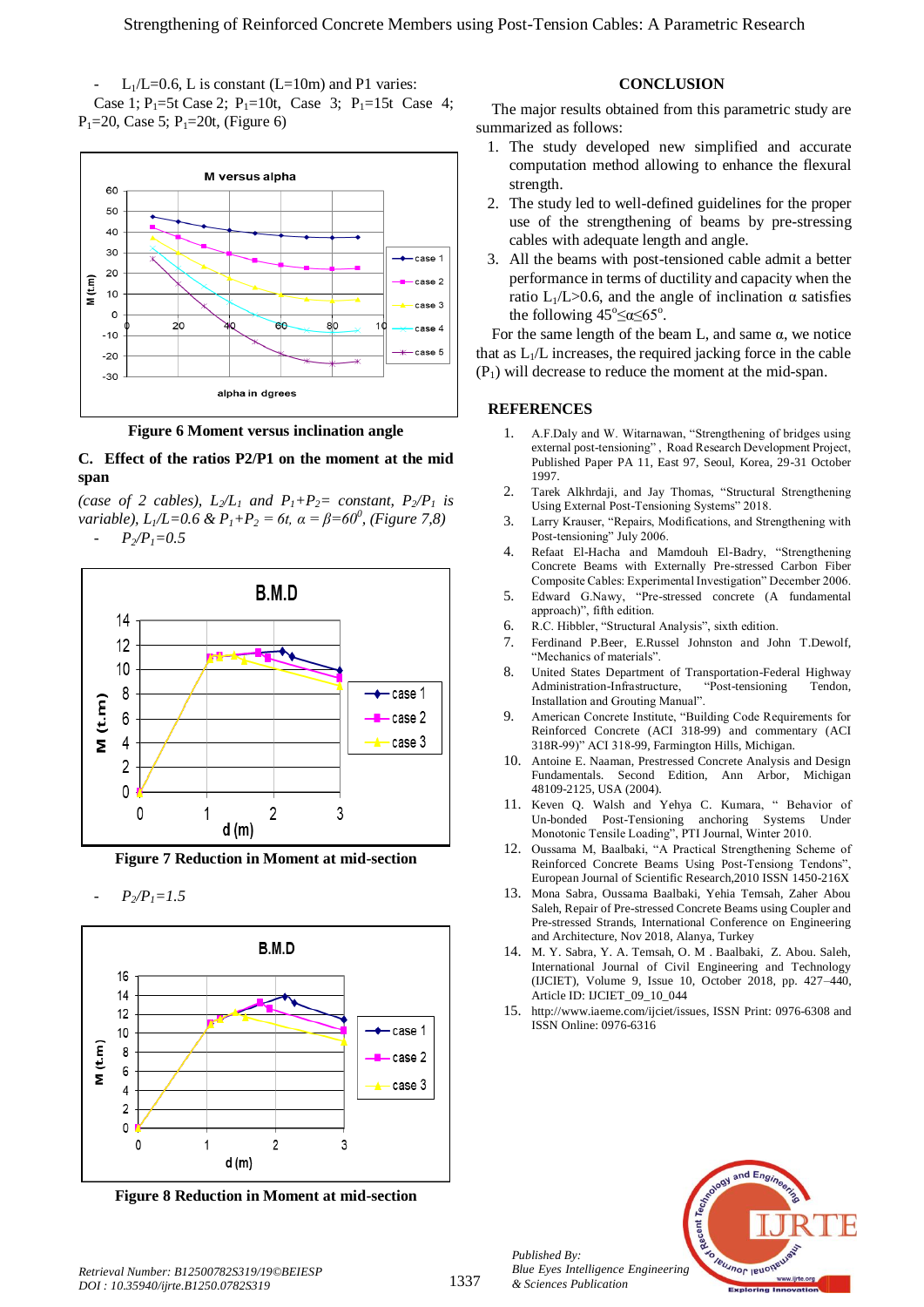$L_1/L=0.6$ , L is constant (L=10m) and P1 varies: Case 1;  $P_1$ =5t Case 2;  $P_1$ =10t, Case 3;  $P_1$ =15t Case 4;  $P_1 = 20$ , Case 5;  $P_1 = 20t$ , (Figure 6)



**Figure 6 Moment versus inclination angle**

# **C. Effect of the ratios P2/P1 on the moment at the mid span**

*(case of 2 cables),*  $L_2/L_1$  *<i>and P*<sub>1</sub>+*P*<sub>2</sub>*= constant, P*<sub>2</sub>*/P*<sub>1</sub> *is variable), L1/L=0.6 & P1+P<sup>2</sup> = 6t, α = β=60<sup>0</sup> , (Figure 7,8)*  $P_2/P_1 = 0.5$ 



**Figure 7 Reduction in Moment at mid-section**

 $P_2/P_1 = 1.5$ 



**Figure 8 Reduction in Moment at mid-section**

### **CONCLUSION**

The major results obtained from this parametric study are summarized as follows:

- 1. The study developed new simplified and accurate computation method allowing to enhance the flexural strength.
- 2. The study led to well-defined guidelines for the proper use of the strengthening of beams by pre-stressing cables with adequate length and angle.
- 3. All the beams with post-tensioned cable admit a better performance in terms of ductility and capacity when the ratio L<sub>1</sub>/L>0.6, and the angle of inclination α satisfies the following  $45^{\circ} \le \alpha \le 65^{\circ}$ .

For the same length of the beam L, and same  $\alpha$ , we notice that as  $L_1/L$  increases, the required jacking force in the cable  $(P_1)$  will decrease to reduce the moment at the mid-span.

#### **REFERENCES**

- 1. A.F.Daly and W. Witarnawan, "Strengthening of bridges using external post-tensioning" , Road Research Development Project, Published Paper PA 11, East 97, Seoul, Korea, 29-31 October 1997.
- 2. Tarek Alkhrdaji, and Jay Thomas, "Structural Strengthening Using External Post-Tensioning Systems" 2018.
- 3. Larry Krauser, "Repairs, Modifications, and Strengthening with Post-tensioning" July 2006.
- 4. Refaat El-Hacha and Mamdouh El-Badry, "Strengthening Concrete Beams with Externally Pre-stressed Carbon Fiber Composite Cables: Experimental Investigation" December 2006.
- 5. Edward G.Nawy, "Pre-stressed concrete (A fundamental approach)", fifth edition.
- 6. R.C. Hibbler, "Structural Analysis", sixth edition.
- 7. Ferdinand P.Beer, E.Russel Johnston and John T.Dewolf, "Mechanics of materials".
- 8. United States Department of Transportation-Federal Highway Administration-Infrastructure, "Post-tensioning Tendon, Installation and Grouting Manual".
- 9. American Concrete Institute, "Building Code Requirements for Reinforced Concrete (ACI 318-99) and commentary (ACI 318R-99)" ACI 318-99, Farmington Hills, Michigan.
- 10. Antoine E. Naaman, Prestressed Concrete Analysis and Design Fundamentals. Second Edition, Ann Arbor, Michigan 48109-2125, USA (2004).
- 11. Keven Q. Walsh and Yehya C. Kumara, " Behavior of Un-bonded Post-Tensioning anchoring Systems Under Monotonic Tensile Loading", PTI Journal, Winter 2010.
- 12. Oussama M, Baalbaki, "A Practical Strengthening Scheme of Reinforced Concrete Beams Using Post-Tensiong Tendons", European Journal of Scientific Research,2010 ISSN 1450-216X
- 13. Mona Sabra, Oussama Baalbaki, Yehia Temsah, Zaher Abou Saleh, Repair of Pre-stressed Concrete Beams using Coupler and Pre-stressed Strands, International Conference on Engineering and Architecture, Nov 2018, Alanya, Turkey
- 14. M. Y. Sabra, Y. A. Temsah, O. M . Baalbaki, Z. Abou. Saleh, International Journal of Civil Engineering and Technology (IJCIET), Volume 9, Issue 10, October 2018, pp. 427–440, Article ID: IJCIET\_09\_10\_044
- 15. http://www.iaeme.com/ijciet/issues, ISSN Print: 0976-6308 and ISSN Online: 0976-6316



*Published By:*

*& Sciences Publication*